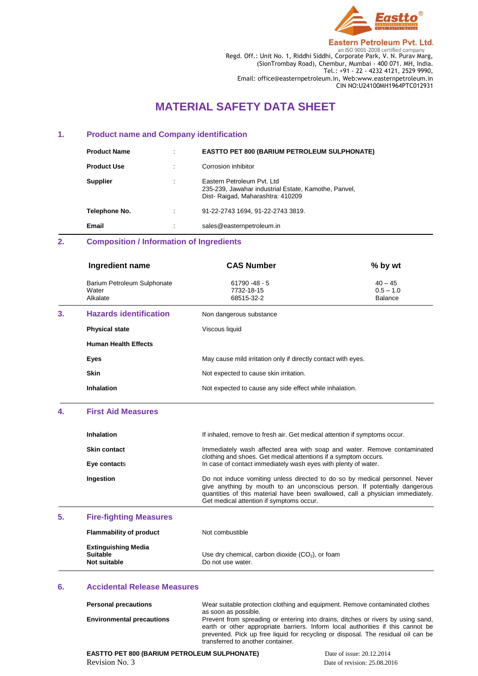

**Eastern Petroleum Pvt. Ltd. ENDENSE 2008**<br>Regd. Off.: Unit No. 1, Riddhi Siddhi, Corporate Park, V. N. Purav Marg, (SionTrombay Road), Chembur, Mumbai - 400 071. MH, India. Tel.: +91 - 22 - 4232 4121, 2529 9990, Email: office@easternpetroleum.in, Web:www.easternpetroleum.in CIN NO:U24100MH1964PTC012931

# **MATERIAL SAFETY DATA SHEET**

# **1. Product name and Company identification**

| <b>Product Name</b> | <b>EASTTO PET 800 (BARIUM PETROLEUM SULPHONATE)</b>                                                                     |
|---------------------|-------------------------------------------------------------------------------------------------------------------------|
| <b>Product Use</b>  | Corrosion inhibitor                                                                                                     |
| <b>Supplier</b>     | Eastern Petroleum Pyt. Ltd.<br>235-239, Jawahar industrial Estate, Kamothe, Panvel,<br>Dist-Raigad, Maharashtra: 410209 |
| Telephone No.       | 91-22-2743 1694, 91-22-2743 3819.                                                                                       |
| Email               | sales@easternpetroleum.in                                                                                               |

# **2. Composition / Information of Ingredients**

|                       | Ingredient name               | <b>CAS Number</b>                                             | % by wt                                    |
|-----------------------|-------------------------------|---------------------------------------------------------------|--------------------------------------------|
| Water<br>Alkalate     | Barium Petroleum Sulphonate   | $61790 - 48 - 5$<br>7732-18-15<br>68515-32-2                  | $40 - 45$<br>$0.5 - 1.0$<br><b>Balance</b> |
| 3.                    | <b>Hazards identification</b> | Non dangerous substance                                       |                                            |
| <b>Physical state</b> |                               | Viscous liquid                                                |                                            |
|                       | <b>Human Health Effects</b>   |                                                               |                                            |
| Eyes                  |                               | May cause mild irritation only if directly contact with eyes. |                                            |
| <b>Skin</b>           |                               | Not expected to cause skin irritation.                        |                                            |
| <b>Inhalation</b>     |                               | Not expected to cause any side effect while inhalation.       |                                            |

# **4. First Aid Measures**

| <b>Inhalation</b>   | If inhaled, remove to fresh air. Get medical attention if symptoms occur.                                                                                                                                                                                                              |
|---------------------|----------------------------------------------------------------------------------------------------------------------------------------------------------------------------------------------------------------------------------------------------------------------------------------|
| <b>Skin contact</b> | Immediately wash affected area with soap and water. Remove contaminated<br>clothing and shoes. Get medical attentions if a symptom occurs.                                                                                                                                             |
| Eye contacts        | In case of contact immediately wash eyes with plenty of water.                                                                                                                                                                                                                         |
| Ingestion           | Do not induce vomiting unless directed to do so by medical personnel. Never<br>give anything by mouth to an unconscious person. If potentially dangerous<br>quantities of this material have been swallowed, call a physician immediately.<br>Get medical attention if symptoms occur. |

# **5. Fire-fighting Measures**

| <b>Flammability of product</b>                                | Not combustible                                                         |
|---------------------------------------------------------------|-------------------------------------------------------------------------|
| <b>Extinguishing Media</b><br><b>Suitable</b><br>Not suitable | Use dry chemical, carbon dioxide $(CO2)$ , or foam<br>Do not use water. |

# **6. Accidental Release Measures**

| <b>Personal precautions</b>      | Wear suitable protection clothing and equipment. Remove contaminated clothes      |
|----------------------------------|-----------------------------------------------------------------------------------|
|                                  | as soon as possible.                                                              |
| <b>Environmental precautions</b> | Prevent from spreading or entering into drains, ditches or rivers by using sand,  |
|                                  | earth or other appropriate barriers. Inform local authorities if this cannot be   |
|                                  | prevented. Pick up free liquid for recycling or disposal. The residual oil can be |
|                                  | transferred to another container.                                                 |

**EASTTO PET 800 (BARIUM PETROLEUM SULPHONATE) Date of issue: 20.12.2014** Revision No. 3 Date of revision: 25.08.2016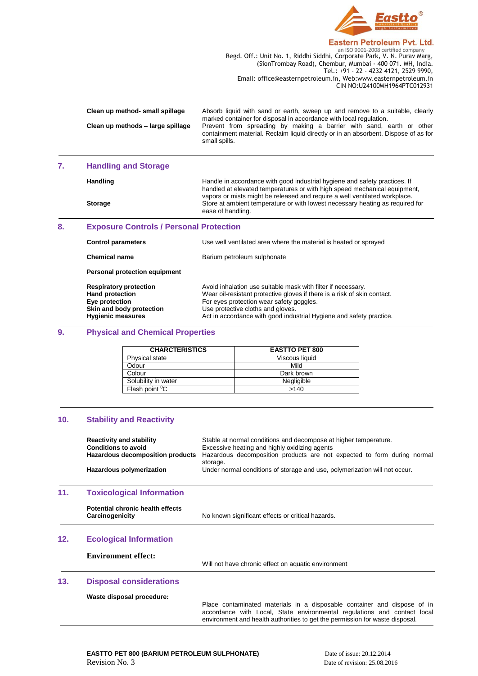

### **Eastern Petroleum Pvt. Ltd.**

**Regd. Off.: Unit No. 1, Riddhi Siddhi, Corporate Park, V. N. Purav Marg,** Regd. Off.: Unit No. 1, Riddhi Siddhi, Corporate Park, V. N. Purav Marg, (SionTrombay Road), Chembur, Mumbai - 400 071. MH, India. Tel.: +91 - 22 - 4232 4121, 2529 9990, Email: office@easternpetroleum.in, Web:www.easternpetroleum.in CIN NO:U24100MH1964PTC012931

| Clean up method- small spillage   | Absorb liquid with sand or earth, sweep up and remove to a suitable, clearly<br>marked container for disposal in accordance with local regulation.                           |
|-----------------------------------|------------------------------------------------------------------------------------------------------------------------------------------------------------------------------|
| Clean up methods - large spillage | Prevent from spreading by making a barrier with sand, earth or other<br>containment material. Reclaim liquid directly or in an absorbent. Dispose of as for<br>small spills. |

# **7. Handling and Storage**

Handling **Handle** in accordance with good industrial hygiene and safety practices. If handled at elevated temperatures or with high speed mechanical equipment, vapors or mists might be released and require a well ventilated workplace. **Storage** Store at ambient temperature or with lowest necessary heating as required for ease of handling.

# **8. Exposure Controls / Personal Protection**

| <b>Control parameters</b>                                                                                                         | Use well ventilated area where the material is heated or sprayed                                                                                                                                                                                                                                 |
|-----------------------------------------------------------------------------------------------------------------------------------|--------------------------------------------------------------------------------------------------------------------------------------------------------------------------------------------------------------------------------------------------------------------------------------------------|
| <b>Chemical name</b>                                                                                                              | Barium petroleum sulphonate                                                                                                                                                                                                                                                                      |
| Personal protection equipment                                                                                                     |                                                                                                                                                                                                                                                                                                  |
| <b>Respiratory protection</b><br><b>Hand protection</b><br>Eye protection<br>Skin and body protection<br><b>Hygienic measures</b> | Avoid inhalation use suitable mask with filter if necessary.<br>Wear oil-resistant protective gloves if there is a risk of skin contact.<br>For eyes protection wear safety goggles.<br>Use protective cloths and gloves.<br>Act in accordance with good industrial Hygiene and safety practice. |

# **9. Physical and Chemical Properties**

| <b>CHARCTERISTICS</b>      | <b>EASTTO PET 800</b> |
|----------------------------|-----------------------|
| <b>Physical state</b>      | Viscous liquid        |
| Odour                      | Mild                  |
| Colour                     | Dark brown            |
| Solubility in water        | Negligible            |
| Flash point <sup>o</sup> C | >140                  |

# **10. Stability and Reactivity**

|     | <b>Reactivity and stability</b><br><b>Conditions to avoid</b><br>Hazardous decomposition products<br>Hazardous polymerization | Stable at normal conditions and decompose at higher temperature.<br>Excessive heating and highly oxidizing agents<br>Hazardous decomposition products are not expected to form during normal<br>storage.<br>Under normal conditions of storage and use, polymerization will not occur. |
|-----|-------------------------------------------------------------------------------------------------------------------------------|----------------------------------------------------------------------------------------------------------------------------------------------------------------------------------------------------------------------------------------------------------------------------------------|
| 11. | <b>Toxicological Information</b>                                                                                              |                                                                                                                                                                                                                                                                                        |
|     | Potential chronic health effects<br>Carcinogenicity                                                                           | No known significant effects or critical hazards.                                                                                                                                                                                                                                      |
| 12. | <b>Ecological Information</b>                                                                                                 |                                                                                                                                                                                                                                                                                        |
|     | <b>Environment effect:</b>                                                                                                    | Will not have chronic effect on aquatic environment                                                                                                                                                                                                                                    |
| 13. | <b>Disposal considerations</b>                                                                                                |                                                                                                                                                                                                                                                                                        |
|     | Waste disposal procedure:                                                                                                     |                                                                                                                                                                                                                                                                                        |

Place contaminated materials in a disposable container and dispose of in accordance with Local, State environmental regulations and contact local environment and health authorities to get the permission for waste disposal.